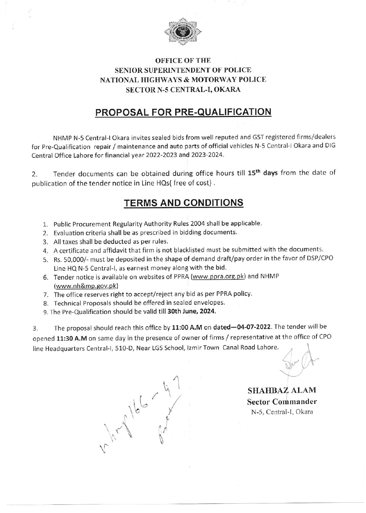

## **OFFICE OF THE** SENIOR SUPERINTENDENT OF POLICE NATIONAL HIGHWAYS & MOTORWAY POLICE SECTOR N-5 CENTRAL-I, OKARA

## PROPOSAL FOR PRE-QUALIFICATION

NHMP N-5 Central-I Okara invites sealed bids from well reputed and GST registered firms/dealers for Pre-Qualification repair / maintenance and auto parts of official vehicles N-5 Central-I Okara and DIG Central Office Lahore for financial year 2022-2023 and 2023-2024.

2. Tender documents can be obtained during office hours till 15<sup>th</sup> days from the date of publication of the tender notice in Line HQs( free of cost) ,

## TERMS AND CONDITIONS

- 1. Public Procurement Regularity Authority Rules 2004 shall be applicable.
- 2. Evaluation criteria shall be as prescribed in bidding documents.
- 3. All taxes shall be deduded as per rules.
- 4. A certificate and affidavit that firm is not blacklisted must be submitted with the documents.
- 5. Rs. 5O,O0O/- must be deposited in the shape of demand draft/pay order in the favor of DSP/CPo Line HQ N-5 Central-1, as earnest money along with the bid.
- 6. Tender notice is available on websites of PPRA (www.ppra.org.pk) and NHMP (www.nh&mp.qov.pk)
- 7. The office reserves right to accept/reject any bid as per PPRA policy.
- 8. Technical Proposals should be offered in sealed envelopes.
- 9. The Pre-Qualification should be valid till 30th June, 2024.

3. The proposal should reach this office by 11:00 A.M on dated-04-07-2022. The tender will be opened 11:30 A.M on same day in the presence of owner of firms / representative at the office of CPo line Headquarters Central-I, 510-D, Near LGS School, Izmir Town Canal Road Lahore.

 $\overline{a}$  $\sqrt{\frac{1}{2}}$  $\int_{0}$  $\mathcal{C}$ ( \^ a

 $\mathbb{R}^n$ 

SHAHBAZ ALAM Sector Commander N-5, Central-I, Okara